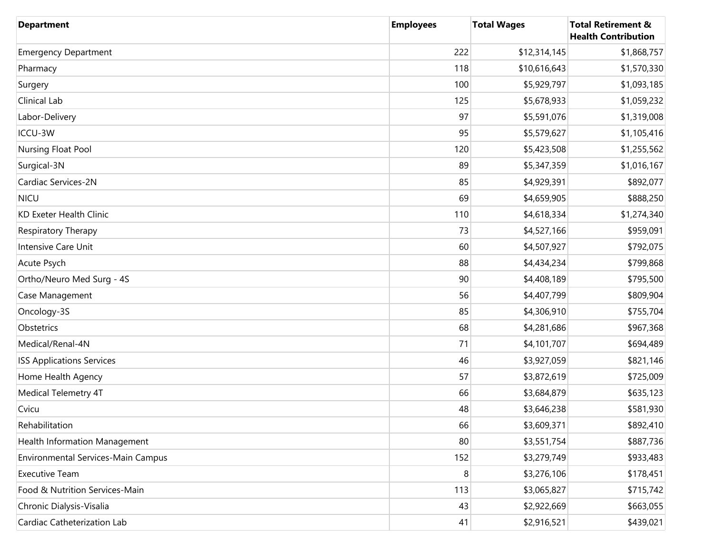| <b>Department</b>                         | <b>Employees</b> | <b>Total Wages</b> | <b>Total Retirement &amp;</b><br><b>Health Contribution</b> |
|-------------------------------------------|------------------|--------------------|-------------------------------------------------------------|
| <b>Emergency Department</b>               | 222              | \$12,314,145       | \$1,868,757                                                 |
| Pharmacy                                  | 118              | \$10,616,643       | \$1,570,330                                                 |
| Surgery                                   | 100              | \$5,929,797        | \$1,093,185                                                 |
| Clinical Lab                              | 125              | \$5,678,933        | \$1,059,232                                                 |
| Labor-Delivery                            | 97               | \$5,591,076        | \$1,319,008                                                 |
| ICCU-3W                                   | 95               | \$5,579,627        | \$1,105,416                                                 |
| Nursing Float Pool                        | 120              | \$5,423,508        | \$1,255,562                                                 |
| Surgical-3N                               | 89               | \$5,347,359        | \$1,016,167                                                 |
| Cardiac Services-2N                       | 85               | \$4,929,391        | \$892,077                                                   |
| <b>NICU</b>                               | 69               | \$4,659,905        | \$888,250                                                   |
| <b>KD Exeter Health Clinic</b>            | 110              | \$4,618,334        | \$1,274,340                                                 |
| Respiratory Therapy                       | 73               | \$4,527,166        | \$959,091                                                   |
| Intensive Care Unit                       | 60               | \$4,507,927        | \$792,075                                                   |
| Acute Psych                               | 88               | \$4,434,234        | \$799,868                                                   |
| Ortho/Neuro Med Surg - 4S                 | 90               | \$4,408,189        | \$795,500                                                   |
| Case Management                           | 56               | \$4,407,799        | \$809,904                                                   |
| Oncology-3S                               | 85               | \$4,306,910        | \$755,704                                                   |
| Obstetrics                                | 68               | \$4,281,686        | \$967,368                                                   |
| Medical/Renal-4N                          | 71               | \$4,101,707        | \$694,489                                                   |
| <b>ISS Applications Services</b>          | 46               | \$3,927,059        | \$821,146                                                   |
| Home Health Agency                        | 57               | \$3,872,619        | \$725,009                                                   |
| Medical Telemetry 4T                      | 66               | \$3,684,879        | \$635,123                                                   |
| Cvicu                                     | 48               | \$3,646,238        | \$581,930                                                   |
| Rehabilitation                            | 66               | \$3,609,371        | \$892,410                                                   |
| Health Information Management             | 80               | \$3,551,754        | \$887,736                                                   |
| <b>Environmental Services-Main Campus</b> | 152              | \$3,279,749        | \$933,483                                                   |
| <b>Executive Team</b>                     | 8                | \$3,276,106        | \$178,451                                                   |
| Food & Nutrition Services-Main            | 113              | \$3,065,827        | \$715,742                                                   |
| Chronic Dialysis-Visalia                  | 43               | \$2,922,669        | \$663,055                                                   |
| Cardiac Catheterization Lab               | 41               | \$2,916,521        | \$439,021                                                   |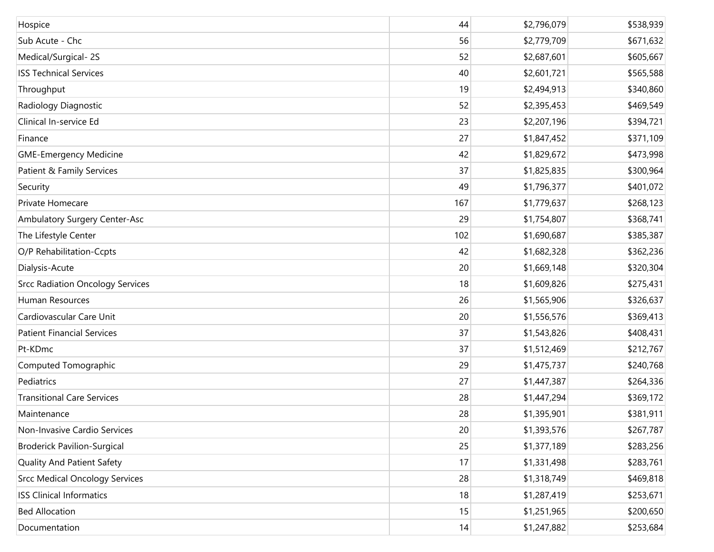| Hospice                                 | 44  | \$2,796,079 | \$538,939 |
|-----------------------------------------|-----|-------------|-----------|
| Sub Acute - Chc                         | 56  | \$2,779,709 | \$671,632 |
| Medical/Surgical-2S                     | 52  | \$2,687,601 | \$605,667 |
| <b>ISS Technical Services</b>           | 40  | \$2,601,721 | \$565,588 |
| Throughput                              | 19  | \$2,494,913 | \$340,860 |
| Radiology Diagnostic                    | 52  | \$2,395,453 | \$469,549 |
| Clinical In-service Ed                  | 23  | \$2,207,196 | \$394,721 |
| Finance                                 | 27  | \$1,847,452 | \$371,109 |
| <b>GME-Emergency Medicine</b>           | 42  | \$1,829,672 | \$473,998 |
| Patient & Family Services               | 37  | \$1,825,835 | \$300,964 |
| Security                                | 49  | \$1,796,377 | \$401,072 |
| Private Homecare                        | 167 | \$1,779,637 | \$268,123 |
| Ambulatory Surgery Center-Asc           | 29  | \$1,754,807 | \$368,741 |
| The Lifestyle Center                    | 102 | \$1,690,687 | \$385,387 |
| O/P Rehabilitation-Ccpts                | 42  | \$1,682,328 | \$362,236 |
| Dialysis-Acute                          | 20  | \$1,669,148 | \$320,304 |
| <b>Srcc Radiation Oncology Services</b> | 18  | \$1,609,826 | \$275,431 |
| Human Resources                         | 26  | \$1,565,906 | \$326,637 |
| Cardiovascular Care Unit                | 20  | \$1,556,576 | \$369,413 |
| <b>Patient Financial Services</b>       | 37  | \$1,543,826 | \$408,431 |
| Pt-KDmc                                 | 37  | \$1,512,469 | \$212,767 |
| Computed Tomographic                    | 29  | \$1,475,737 | \$240,768 |
| Pediatrics                              | 27  | \$1,447,387 | \$264,336 |
| <b>Transitional Care Services</b>       | 28  | \$1,447,294 | \$369,172 |
| Maintenance                             | 28  | \$1,395,901 | \$381,911 |
| Non-Invasive Cardio Services            | 20  | \$1,393,576 | \$267,787 |
| <b>Broderick Pavilion-Surgical</b>      | 25  | \$1,377,189 | \$283,256 |
| <b>Quality And Patient Safety</b>       | 17  | \$1,331,498 | \$283,761 |
| <b>Srcc Medical Oncology Services</b>   | 28  | \$1,318,749 | \$469,818 |
| <b>ISS Clinical Informatics</b>         | 18  | \$1,287,419 | \$253,671 |
| <b>Bed Allocation</b>                   | 15  | \$1,251,965 | \$200,650 |
| Documentation                           | 14  | \$1,247,882 | \$253,684 |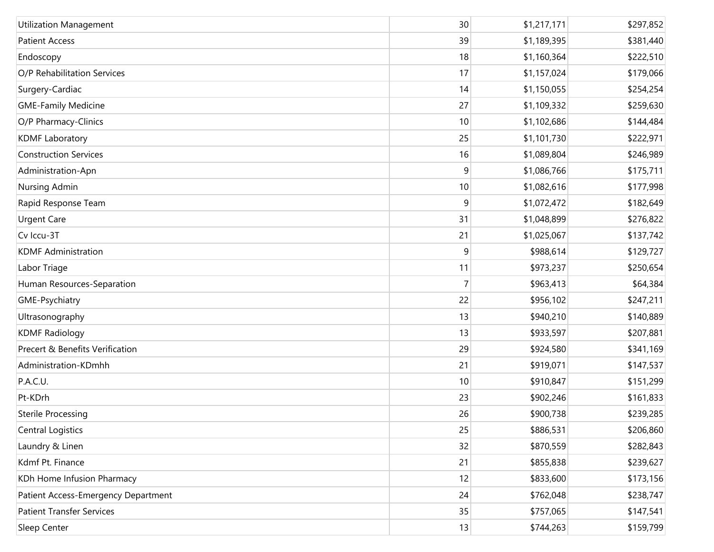| <b>Utilization Management</b>       | 30             | \$1,217,171 | \$297,852 |
|-------------------------------------|----------------|-------------|-----------|
| <b>Patient Access</b>               | 39             | \$1,189,395 | \$381,440 |
| Endoscopy                           | 18             | \$1,160,364 | \$222,510 |
| O/P Rehabilitation Services         | 17             | \$1,157,024 | \$179,066 |
| Surgery-Cardiac                     | 14             | \$1,150,055 | \$254,254 |
| <b>GME-Family Medicine</b>          | 27             | \$1,109,332 | \$259,630 |
| O/P Pharmacy-Clinics                | 10             | \$1,102,686 | \$144,484 |
| <b>KDMF Laboratory</b>              | 25             | \$1,101,730 | \$222,971 |
| <b>Construction Services</b>        | 16             | \$1,089,804 | \$246,989 |
| Administration-Apn                  | 9              | \$1,086,766 | \$175,711 |
| Nursing Admin                       | 10             | \$1,082,616 | \$177,998 |
| Rapid Response Team                 | 9              | \$1,072,472 | \$182,649 |
| <b>Urgent Care</b>                  | 31             | \$1,048,899 | \$276,822 |
| Cv Iccu-3T                          | 21             | \$1,025,067 | \$137,742 |
| <b>KDMF Administration</b>          | 9              | \$988,614   | \$129,727 |
| Labor Triage                        | 11             | \$973,237   | \$250,654 |
| Human Resources-Separation          | $\overline{7}$ | \$963,413   | \$64,384  |
| GME-Psychiatry                      | 22             | \$956,102   | \$247,211 |
| Ultrasonography                     | 13             | \$940,210   | \$140,889 |
| <b>KDMF Radiology</b>               | 13             | \$933,597   | \$207,881 |
| Precert & Benefits Verification     | 29             | \$924,580   | \$341,169 |
| Administration-KDmhh                | 21             | \$919,071   | \$147,537 |
| P.A.C.U.                            | 10             | \$910,847   | \$151,299 |
| Pt-KDrh                             | 23             | \$902,246   | \$161,833 |
| <b>Sterile Processing</b>           | 26             | \$900,738   | \$239,285 |
| <b>Central Logistics</b>            | 25             | \$886,531   | \$206,860 |
| Laundry & Linen                     | 32             | \$870,559   | \$282,843 |
| Kdmf Pt. Finance                    | 21             | \$855,838   | \$239,627 |
| KDh Home Infusion Pharmacy          | 12             | \$833,600   | \$173,156 |
| Patient Access-Emergency Department | 24             | \$762,048   | \$238,747 |
| <b>Patient Transfer Services</b>    | 35             | \$757,065   | \$147,541 |
| Sleep Center                        | 13             | \$744,263   | \$159,799 |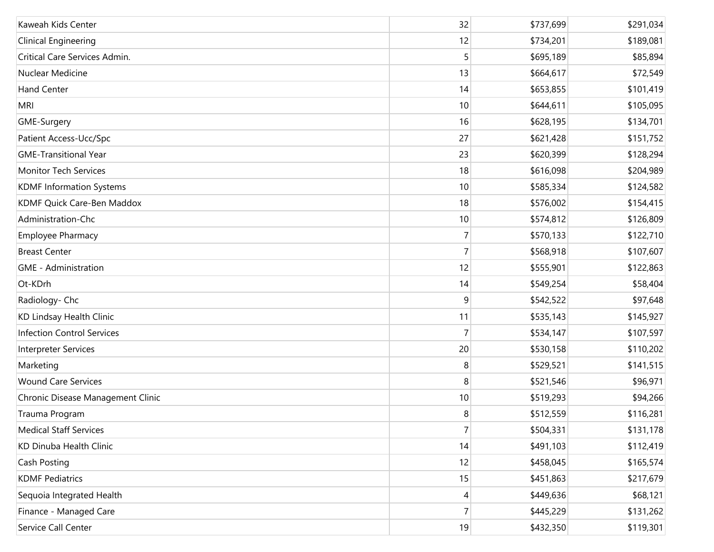| Kaweah Kids Center                | 32             | \$737,699 | \$291,034 |
|-----------------------------------|----------------|-----------|-----------|
| <b>Clinical Engineering</b>       | 12             | \$734,201 | \$189,081 |
| Critical Care Services Admin.     | 5              | \$695,189 | \$85,894  |
| Nuclear Medicine                  | 13             | \$664,617 | \$72,549  |
| <b>Hand Center</b>                | 14             | \$653,855 | \$101,419 |
| <b>MRI</b>                        | 10             | \$644,611 | \$105,095 |
| GME-Surgery                       | 16             | \$628,195 | \$134,701 |
| Patient Access-Ucc/Spc            | 27             | \$621,428 | \$151,752 |
| <b>GME-Transitional Year</b>      | 23             | \$620,399 | \$128,294 |
| <b>Monitor Tech Services</b>      | 18             | \$616,098 | \$204,989 |
| <b>KDMF Information Systems</b>   | 10             | \$585,334 | \$124,582 |
| KDMF Quick Care-Ben Maddox        | 18             | \$576,002 | \$154,415 |
| Administration-Chc                | 10             | \$574,812 | \$126,809 |
| <b>Employee Pharmacy</b>          | $\overline{7}$ | \$570,133 | \$122,710 |
| <b>Breast Center</b>              | $\overline{7}$ | \$568,918 | \$107,607 |
| <b>GME</b> - Administration       | 12             | \$555,901 | \$122,863 |
| Ot-KDrh                           | 14             | \$549,254 | \$58,404  |
| Radiology- Chc                    | 9              | \$542,522 | \$97,648  |
| KD Lindsay Health Clinic          | 11             | \$535,143 | \$145,927 |
| <b>Infection Control Services</b> | $\overline{7}$ | \$534,147 | \$107,597 |
| Interpreter Services              | 20             | \$530,158 | \$110,202 |
| Marketing                         | 8              | \$529,521 | \$141,515 |
| <b>Wound Care Services</b>        | 8              | \$521,546 | \$96,971  |
| Chronic Disease Management Clinic | 10             | \$519,293 | \$94,266  |
| Trauma Program                    | 8              | \$512,559 | \$116,281 |
| <b>Medical Staff Services</b>     | $\overline{7}$ | \$504,331 | \$131,178 |
| KD Dinuba Health Clinic           | 14             | \$491,103 | \$112,419 |
| Cash Posting                      | 12             | \$458,045 | \$165,574 |
| <b>KDMF Pediatrics</b>            | 15             | \$451,863 | \$217,679 |
| Sequoia Integrated Health         | 4              | \$449,636 | \$68,121  |
| Finance - Managed Care            | $\overline{7}$ | \$445,229 | \$131,262 |
| Service Call Center               | 19             | \$432,350 | \$119,301 |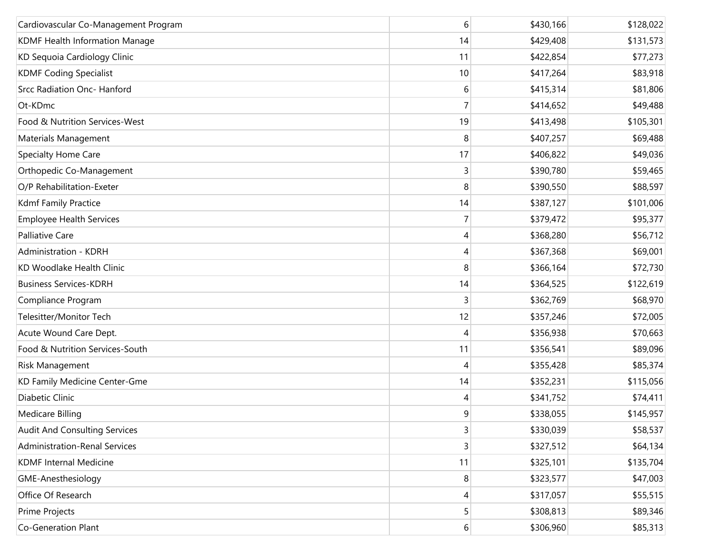| Cardiovascular Co-Management Program | 6  | \$430,166 | \$128,022 |
|--------------------------------------|----|-----------|-----------|
| KDMF Health Information Manage       | 14 | \$429,408 | \$131,573 |
| KD Sequoia Cardiology Clinic         | 11 | \$422,854 | \$77,273  |
| <b>KDMF Coding Specialist</b>        | 10 | \$417,264 | \$83,918  |
| Srcc Radiation Onc- Hanford          | 6  | \$415,314 | \$81,806  |
| Ot-KDmc                              | 7  | \$414,652 | \$49,488  |
| Food & Nutrition Services-West       | 19 | \$413,498 | \$105,301 |
| Materials Management                 | 8  | \$407,257 | \$69,488  |
| Specialty Home Care                  | 17 | \$406,822 | \$49,036  |
| Orthopedic Co-Management             | 3  | \$390,780 | \$59,465  |
| O/P Rehabilitation-Exeter            | 8  | \$390,550 | \$88,597  |
| Kdmf Family Practice                 | 14 | \$387,127 | \$101,006 |
| <b>Employee Health Services</b>      |    | \$379,472 | \$95,377  |
| Palliative Care                      | 4  | \$368,280 | \$56,712  |
| Administration - KDRH                | 4  | \$367,368 | \$69,001  |
| KD Woodlake Health Clinic            | 8  | \$366,164 | \$72,730  |
| <b>Business Services-KDRH</b>        | 14 | \$364,525 | \$122,619 |
| Compliance Program                   | 3  | \$362,769 | \$68,970  |
| Telesitter/Monitor Tech              | 12 | \$357,246 | \$72,005  |
| Acute Wound Care Dept.               | 4  | \$356,938 | \$70,663  |
| Food & Nutrition Services-South      | 11 | \$356,541 | \$89,096  |
| Risk Management                      | 4  | \$355,428 | \$85,374  |
| KD Family Medicine Center-Gme        | 14 | \$352,231 | \$115,056 |
| Diabetic Clinic                      | 4  | \$341,752 | \$74,411  |
| Medicare Billing                     | 9  | \$338,055 | \$145,957 |
| <b>Audit And Consulting Services</b> | 3  | \$330,039 | \$58,537  |
| <b>Administration-Renal Services</b> | 3  | \$327,512 | \$64,134  |
| <b>KDMF Internal Medicine</b>        | 11 | \$325,101 | \$135,704 |
| GME-Anesthesiology                   | 8  | \$323,577 | \$47,003  |
| Office Of Research                   | 4  | \$317,057 | \$55,515  |
| Prime Projects                       | 5  | \$308,813 | \$89,346  |
| Co-Generation Plant                  | 6  | \$306,960 | \$85,313  |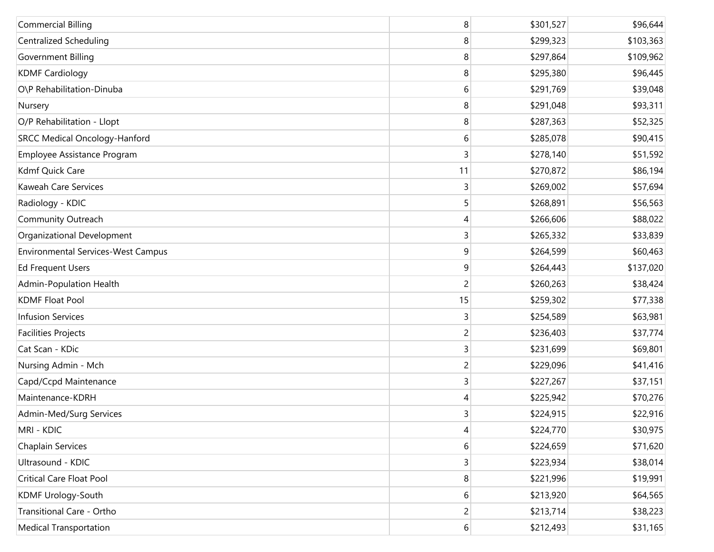| <b>Commercial Billing</b>                 | 8        | \$301,527 | \$96,644  |
|-------------------------------------------|----------|-----------|-----------|
| <b>Centralized Scheduling</b>             | 8        | \$299,323 | \$103,363 |
| Government Billing                        | 8        | \$297,864 | \$109,962 |
| <b>KDMF Cardiology</b>                    | 8        | \$295,380 | \$96,445  |
| O\P Rehabilitation-Dinuba                 | 6        | \$291,769 | \$39,048  |
| Nursery                                   | 8        | \$291,048 | \$93,311  |
| O/P Rehabilitation - Llopt                | 8        | \$287,363 | \$52,325  |
| <b>SRCC Medical Oncology-Hanford</b>      | 6        | \$285,078 | \$90,415  |
| Employee Assistance Program               | 3        | \$278,140 | \$51,592  |
| Kdmf Quick Care                           | 11       | \$270,872 | \$86,194  |
| Kaweah Care Services                      | 3        | \$269,002 | \$57,694  |
| Radiology - KDIC                          | 5        | \$268,891 | \$56,563  |
| Community Outreach                        | 4        | \$266,606 | \$88,022  |
| Organizational Development                | 3        | \$265,332 | \$33,839  |
| <b>Environmental Services-West Campus</b> | 9        | \$264,599 | \$60,463  |
| <b>Ed Frequent Users</b>                  | 9        | \$264,443 | \$137,020 |
| Admin-Population Health                   | 2        | \$260,263 | \$38,424  |
| <b>KDMF Float Pool</b>                    | 15       | \$259,302 | \$77,338  |
| <b>Infusion Services</b>                  | 3        | \$254,589 | \$63,981  |
| <b>Facilities Projects</b>                | 2        | \$236,403 | \$37,774  |
| Cat Scan - KDic                           | 3        | \$231,699 | \$69,801  |
| Nursing Admin - Mch                       | 2        | \$229,096 | \$41,416  |
| Capd/Ccpd Maintenance                     | 3        | \$227,267 | \$37,151  |
| Maintenance-KDRH                          | 4        | \$225,942 | \$70,276  |
| Admin-Med/Surg Services                   | 3        | \$224,915 | \$22,916  |
| MRI - KDIC                                | 4        | \$224,770 | \$30,975  |
| Chaplain Services                         | 6        | \$224,659 | \$71,620  |
| Ultrasound - KDIC                         | 3        | \$223,934 | \$38,014  |
| Critical Care Float Pool                  | 8        | \$221,996 | \$19,991  |
| KDMF Urology-South                        | 6        | \$213,920 | \$64,565  |
| Transitional Care - Ortho                 | 2        | \$213,714 | \$38,223  |
| <b>Medical Transportation</b>             | $6 \mid$ | \$212,493 | \$31,165  |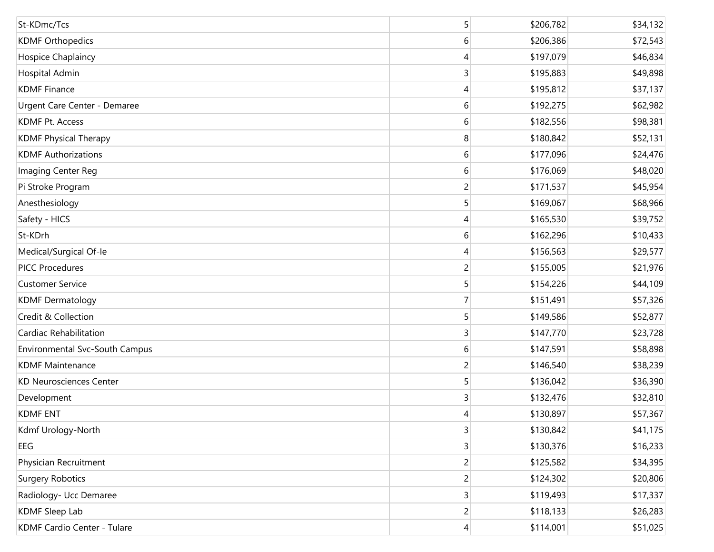| St-KDmc/Tcs                           | 5              | \$206,782 | \$34,132 |
|---------------------------------------|----------------|-----------|----------|
| <b>KDMF Orthopedics</b>               | 6              | \$206,386 | \$72,543 |
| Hospice Chaplaincy                    | 4              | \$197,079 | \$46,834 |
| Hospital Admin                        | 3              | \$195,883 | \$49,898 |
| <b>KDMF Finance</b>                   | 4              | \$195,812 | \$37,137 |
| Urgent Care Center - Demaree          | 6              | \$192,275 | \$62,982 |
| <b>KDMF Pt. Access</b>                | 6              | \$182,556 | \$98,381 |
| <b>KDMF Physical Therapy</b>          | 8              | \$180,842 | \$52,131 |
| <b>KDMF Authorizations</b>            | 6              | \$177,096 | \$24,476 |
| Imaging Center Reg                    | 6              | \$176,069 | \$48,020 |
| Pi Stroke Program                     | 2              | \$171,537 | \$45,954 |
| Anesthesiology                        | 5              | \$169,067 | \$68,966 |
| Safety - HICS                         | 4              | \$165,530 | \$39,752 |
| St-KDrh                               | 6              | \$162,296 | \$10,433 |
| Medical/Surgical Of-le                | 4              | \$156,563 | \$29,577 |
| <b>PICC Procedures</b>                | 2              | \$155,005 | \$21,976 |
| <b>Customer Service</b>               | 5              | \$154,226 | \$44,109 |
| <b>KDMF Dermatology</b>               | 7              | \$151,491 | \$57,326 |
| Credit & Collection                   | 5              | \$149,586 | \$52,877 |
| Cardiac Rehabilitation                | 3              | \$147,770 | \$23,728 |
| <b>Environmental Svc-South Campus</b> | 6              | \$147,591 | \$58,898 |
| <b>KDMF Maintenance</b>               | 2              | \$146,540 | \$38,239 |
| <b>KD Neurosciences Center</b>        | 5              | \$136,042 | \$36,390 |
| Development                           | 3              | \$132,476 | \$32,810 |
| <b>KDMF ENT</b>                       | 4              | \$130,897 | \$57,367 |
| Kdmf Urology-North                    | 3              | \$130,842 | \$41,175 |
| EEG                                   | 3              | \$130,376 | \$16,233 |
| Physician Recruitment                 | 2              | \$125,582 | \$34,395 |
| <b>Surgery Robotics</b>               | $\overline{c}$ | \$124,302 | \$20,806 |
| Radiology- Ucc Demaree                | 3              | \$119,493 | \$17,337 |
| <b>KDMF Sleep Lab</b>                 | $\overline{c}$ | \$118,133 | \$26,283 |
| KDMF Cardio Center - Tulare           | 4              | \$114,001 | \$51,025 |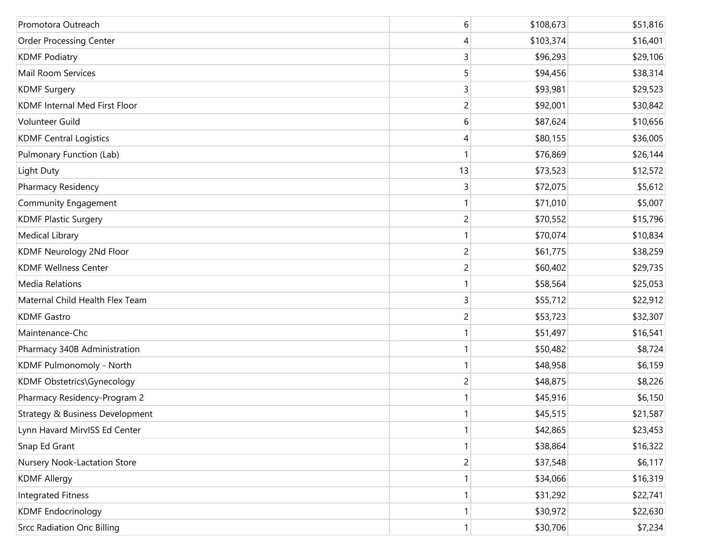| Promotora Outreach                | 6              | \$108,673 | \$51,816 |
|-----------------------------------|----------------|-----------|----------|
| <b>Order Processing Center</b>    | 4              | \$103,374 | \$16,401 |
| <b>KDMF Podiatry</b>              | 3              | \$96,293  | \$29,106 |
| Mail Room Services                | 5              | \$94,456  | \$38,314 |
| <b>KDMF Surgery</b>               | 3              | \$93,981  | \$29,523 |
| KDMF Internal Med First Floor     | 2              | \$92,001  | \$30,842 |
| Volunteer Guild                   | 6              | \$87,624  | \$10,656 |
| <b>KDMF Central Logistics</b>     | 4              | \$80,155  | \$36,005 |
| Pulmonary Function (Lab)          |                | \$76,869  | \$26,144 |
| Light Duty                        | 13             | \$73,523  | \$12,572 |
| Pharmacy Residency                | 3              | \$72,075  | \$5,612  |
| <b>Community Engagement</b>       |                | \$71,010  | \$5,007  |
| <b>KDMF Plastic Surgery</b>       | $\overline{2}$ | \$70,552  | \$15,796 |
| Medical Library                   |                | \$70,074  | \$10,834 |
| KDMF Neurology 2Nd Floor          | $\overline{c}$ | \$61,775  | \$38,259 |
| <b>KDMF Wellness Center</b>       | 2              | \$60,402  | \$29,735 |
| <b>Media Relations</b>            |                | \$58,564  | \$25,053 |
| Maternal Child Health Flex Team   | 3              | \$55,712  | \$22,912 |
| <b>KDMF Gastro</b>                | 2              | \$53,723  | \$32,307 |
| Maintenance-Chc                   |                | \$51,497  | \$16,541 |
| Pharmacy 340B Administration      |                | \$50,482  | \$8,724  |
| KDMF Pulmonomoly - North          |                | \$48,958  | \$6,159  |
| KDMF Obstetrics\Gynecology        | $\overline{c}$ | \$48,875  | \$8,226  |
| Pharmacy Residency-Program 2      |                | \$45,916  | \$6,150  |
| Strategy & Business Development   | 1              | \$45,515  | \$21,587 |
| Lynn Havard MirvISS Ed Center     |                | \$42,865  | \$23,453 |
| Snap Ed Grant                     |                | \$38,864  | \$16,322 |
| Nursery Nook-Lactation Store      | $\overline{c}$ | \$37,548  | \$6,117  |
| <b>KDMF Allergy</b>               |                | \$34,066  | \$16,319 |
| <b>Integrated Fitness</b>         |                | \$31,292  | \$22,741 |
| <b>KDMF</b> Endocrinology         |                | \$30,972  | \$22,630 |
| <b>Srcc Radiation Onc Billing</b> | 1              | \$30,706  | \$7,234  |